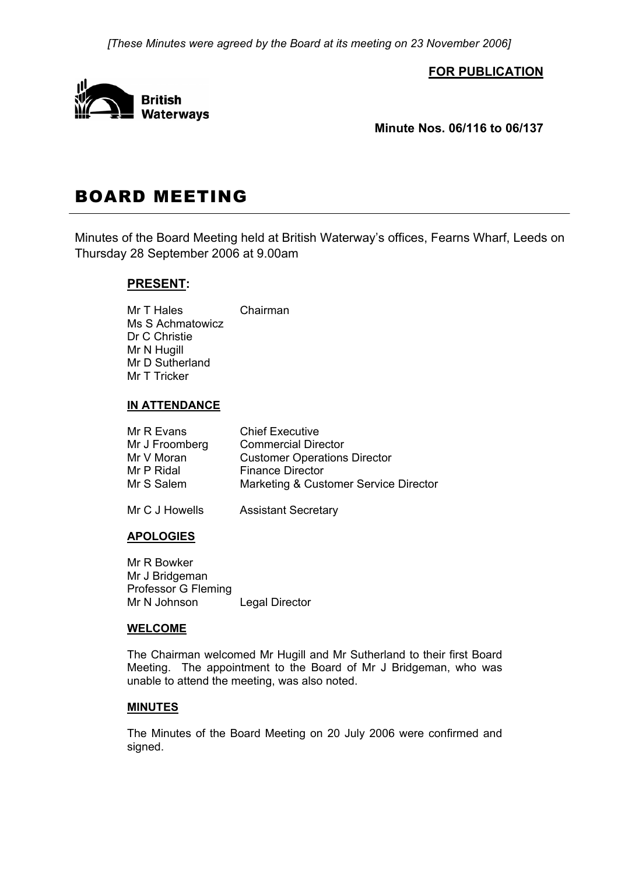*[These Minutes were agreed by the Board at its meeting on 23 November 2006]* 

**FOR PUBLICATION**



**Minute Nos. 06/116 to 06/137** 

# BOARD MEETING

Minutes of the Board Meeting held at British Waterway's offices, Fearns Wharf, Leeds on Thursday 28 September 2006 at 9.00am

# **PRESENT:**

Mr T Hales Chairman Ms S Achmatowicz Dr C Christie Mr N Hugill Mr D Sutherland Mr T Tricker

# **IN ATTENDANCE**

| Mr R Evans     | <b>Chief Executive</b>                |
|----------------|---------------------------------------|
| Mr J Froomberg | <b>Commercial Director</b>            |
| Mr V Moran     | <b>Customer Operations Director</b>   |
| Mr P Ridal     | <b>Finance Director</b>               |
| Mr S Salem     | Marketing & Customer Service Director |
| Mr C J Howells | <b>Assistant Secretary</b>            |

# **APOLOGIES**

 Mr R Bowker Mr J Bridgeman Professor G Fleming Mr N Johnson Legal Director

## **WELCOME**

 The Chairman welcomed Mr Hugill and Mr Sutherland to their first Board Meeting. The appointment to the Board of Mr J Bridgeman, who was unable to attend the meeting, was also noted.

## **MINUTES**

 The Minutes of the Board Meeting on 20 July 2006 were confirmed and signed.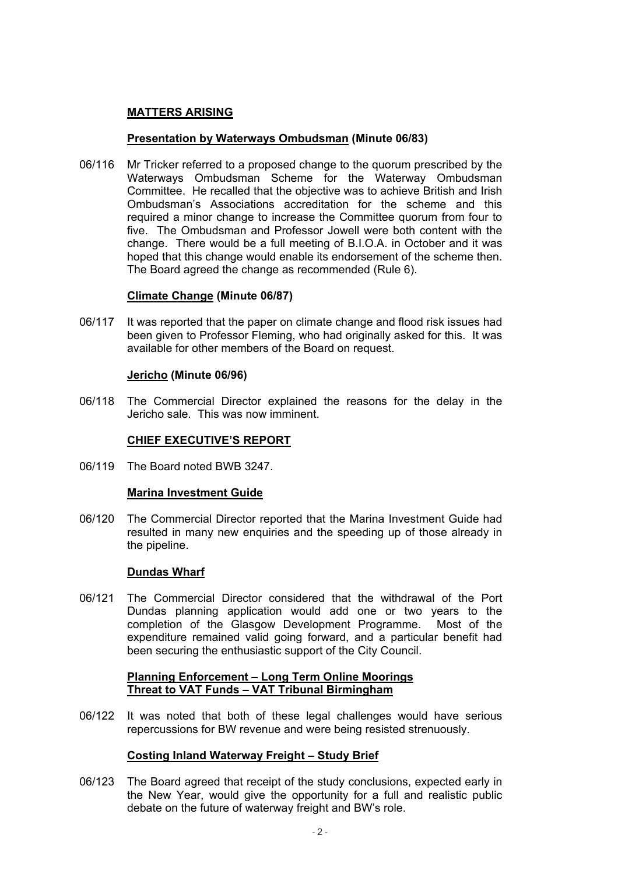# **MATTERS ARISING**

## **Presentation by Waterways Ombudsman (Minute 06/83)**

06/116 Mr Tricker referred to a proposed change to the quorum prescribed by the Waterways Ombudsman Scheme for the Waterway Ombudsman Committee. He recalled that the objective was to achieve British and Irish Ombudsman's Associations accreditation for the scheme and this required a minor change to increase the Committee quorum from four to five. The Ombudsman and Professor Jowell were both content with the change. There would be a full meeting of B.I.O.A. in October and it was hoped that this change would enable its endorsement of the scheme then. The Board agreed the change as recommended (Rule 6).

#### **Climate Change (Minute 06/87)**

06/117 It was reported that the paper on climate change and flood risk issues had been given to Professor Fleming, who had originally asked for this. It was available for other members of the Board on request.

#### **Jericho (Minute 06/96)**

06/118 The Commercial Director explained the reasons for the delay in the Jericho sale. This was now imminent.

## **CHIEF EXECUTIVE'S REPORT**

06/119 The Board noted BWB 3247.

#### **Marina Investment Guide**

06/120 The Commercial Director reported that the Marina Investment Guide had resulted in many new enquiries and the speeding up of those already in the pipeline.

#### **Dundas Wharf**

06/121 The Commercial Director considered that the withdrawal of the Port Dundas planning application would add one or two years to the completion of the Glasgow Development Programme. Most of the expenditure remained valid going forward, and a particular benefit had been securing the enthusiastic support of the City Council.

#### **Planning Enforcement – Long Term Online Moorings Threat to VAT Funds – VAT Tribunal Birmingham**

06/122 It was noted that both of these legal challenges would have serious repercussions for BW revenue and were being resisted strenuously.

## **Costing Inland Waterway Freight – Study Brief**

06/123 The Board agreed that receipt of the study conclusions, expected early in the New Year, would give the opportunity for a full and realistic public debate on the future of waterway freight and BW's role.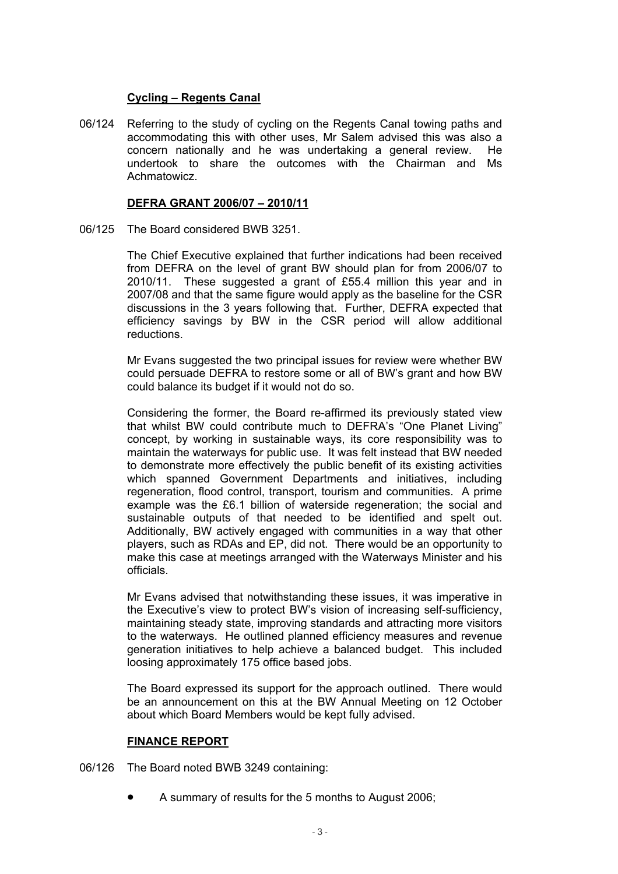## **Cycling – Regents Canal**

06/124 Referring to the study of cycling on the Regents Canal towing paths and accommodating this with other uses, Mr Salem advised this was also a concern nationally and he was undertaking a general review. He undertook to share the outcomes with the Chairman and Ms Achmatowicz.

#### **DEFRA GRANT 2006/07 – 2010/11**

06/125 The Board considered BWB 3251.

 The Chief Executive explained that further indications had been received from DEFRA on the level of grant BW should plan for from 2006/07 to 2010/11. These suggested a grant of £55.4 million this year and in 2007/08 and that the same figure would apply as the baseline for the CSR discussions in the 3 years following that. Further, DEFRA expected that efficiency savings by BW in the CSR period will allow additional reductions.

 Mr Evans suggested the two principal issues for review were whether BW could persuade DEFRA to restore some or all of BW's grant and how BW could balance its budget if it would not do so.

 Considering the former, the Board re-affirmed its previously stated view that whilst BW could contribute much to DEFRA's "One Planet Living" concept, by working in sustainable ways, its core responsibility was to maintain the waterways for public use. It was felt instead that BW needed to demonstrate more effectively the public benefit of its existing activities which spanned Government Departments and initiatives, including regeneration, flood control, transport, tourism and communities. A prime example was the £6.1 billion of waterside regeneration; the social and sustainable outputs of that needed to be identified and spelt out. Additionally, BW actively engaged with communities in a way that other players, such as RDAs and EP, did not. There would be an opportunity to make this case at meetings arranged with the Waterways Minister and his officials.

 Mr Evans advised that notwithstanding these issues, it was imperative in the Executive's view to protect BW's vision of increasing self-sufficiency, maintaining steady state, improving standards and attracting more visitors to the waterways. He outlined planned efficiency measures and revenue generation initiatives to help achieve a balanced budget. This included loosing approximately 175 office based jobs.

 The Board expressed its support for the approach outlined. There would be an announcement on this at the BW Annual Meeting on 12 October about which Board Members would be kept fully advised.

## **FINANCE REPORT**

06/126 The Board noted BWB 3249 containing:

• A summary of results for the 5 months to August 2006;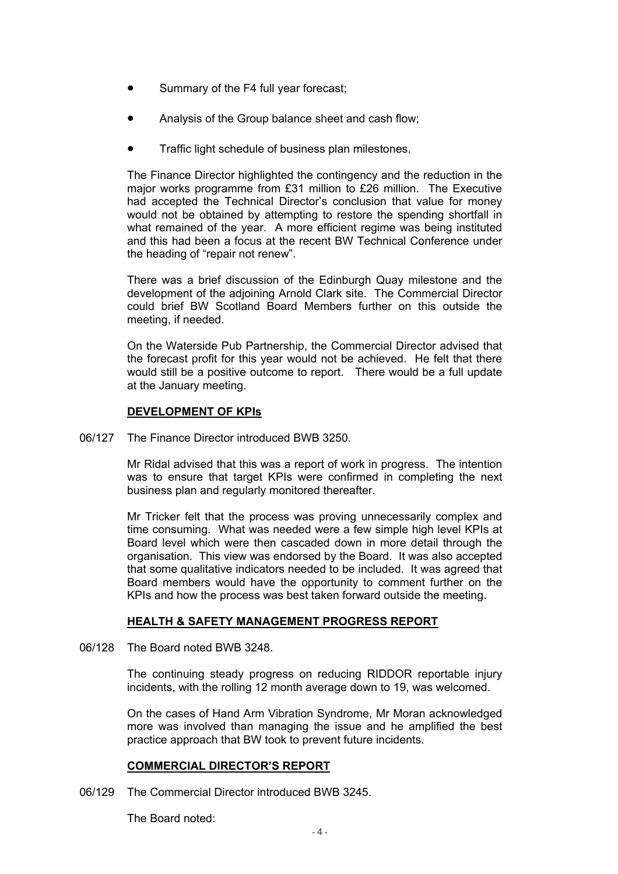- Summary of the F4 full year forecast;
- Analysis of the Group balance sheet and cash flow;
- Traffic light schedule of business plan milestones.

 The Finance Director highlighted the contingency and the reduction in the major works programme from £31 million to £26 million. The Executive had accepted the Technical Director's conclusion that value for money would not be obtained by attempting to restore the spending shortfall in what remained of the year. A more efficient regime was being instituted and this had been a focus at the recent BW Technical Conference under the heading of "repair not renew".

 There was a brief discussion of the Edinburgh Quay milestone and the development of the adjoining Arnold Clark site. The Commercial Director could brief BW Scotland Board Members further on this outside the meeting, if needed.

 On the Waterside Pub Partnership, the Commercial Director advised that the forecast profit for this year would not be achieved. He felt that there would still be a positive outcome to report. There would be a full update at the January meeting.

#### **DEVELOPMENT OF KPIs**

06/127 The Finance Director introduced BWB 3250.

 Mr Ridal advised that this was a report of work in progress. The intention was to ensure that target KPIs were confirmed in completing the next business plan and regularly monitored thereafter.

 Mr Tricker felt that the process was proving unnecessarily complex and time consuming. What was needed were a few simple high level KPIs at Board level which were then cascaded down in more detail through the organisation. This view was endorsed by the Board. It was also accepted that some qualitative indicators needed to be included. It was agreed that Board members would have the opportunity to comment further on the KPIs and how the process was best taken forward outside the meeting.

## **HEALTH & SAFETY MANAGEMENT PROGRESS REPORT**

06/128 The Board noted BWB 3248.

 The continuing steady progress on reducing RIDDOR reportable injury incidents, with the rolling 12 month average down to 19, was welcomed.

 On the cases of Hand Arm Vibration Syndrome, Mr Moran acknowledged more was involved than managing the issue and he amplified the best practice approach that BW took to prevent future incidents.

#### **COMMERCIAL DIRECTOR'S REPORT**

06/129 The Commercial Director introduced BWB 3245.

The Board noted: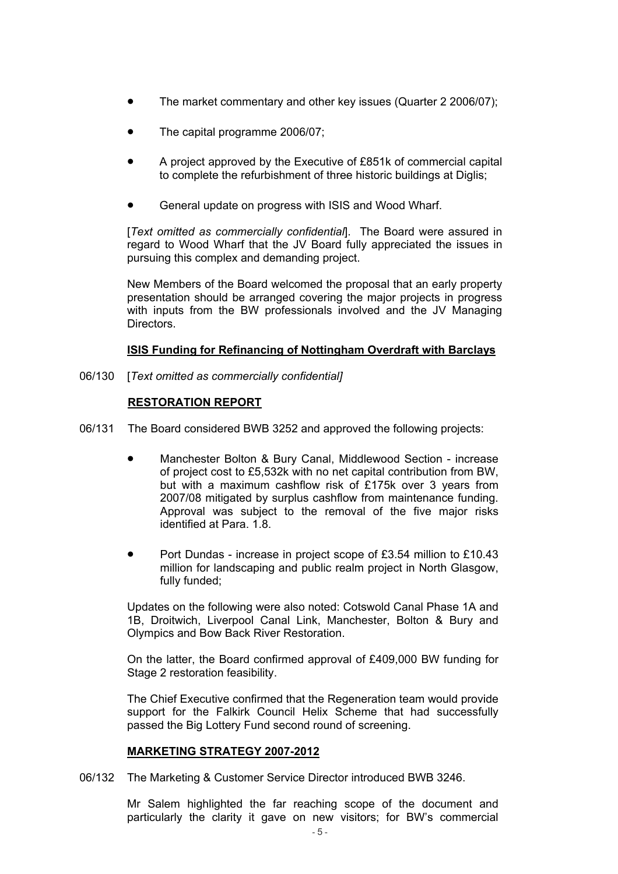- The market commentary and other key issues (Quarter 2 2006/07);
- The capital programme 2006/07;
- A project approved by the Executive of £851k of commercial capital to complete the refurbishment of three historic buildings at Diglis;
- General update on progress with ISIS and Wood Wharf.

 [*Text omitted as commercially confidential*]. The Board were assured in regard to Wood Wharf that the JV Board fully appreciated the issues in pursuing this complex and demanding project.

 New Members of the Board welcomed the proposal that an early property presentation should be arranged covering the major projects in progress with inputs from the BW professionals involved and the JV Managing Directors.

## **ISIS Funding for Refinancing of Nottingham Overdraft with Barclays**

06/130 [*Text omitted as commercially confidential]* 

#### **RESTORATION REPORT**

- 06/131 The Board considered BWB 3252 and approved the following projects:
	- Manchester Bolton & Bury Canal, Middlewood Section increase of project cost to £5,532k with no net capital contribution from BW, but with a maximum cashflow risk of £175k over 3 years from 2007/08 mitigated by surplus cashflow from maintenance funding. Approval was subject to the removal of the five major risks identified at Para. 1.8.
	- Port Dundas increase in project scope of £3.54 million to £10.43 million for landscaping and public realm project in North Glasgow, fully funded;

 Updates on the following were also noted: Cotswold Canal Phase 1A and 1B, Droitwich, Liverpool Canal Link, Manchester, Bolton & Bury and Olympics and Bow Back River Restoration.

 On the latter, the Board confirmed approval of £409,000 BW funding for Stage 2 restoration feasibility.

 The Chief Executive confirmed that the Regeneration team would provide support for the Falkirk Council Helix Scheme that had successfully passed the Big Lottery Fund second round of screening.

#### **MARKETING STRATEGY 2007-2012**

06/132 The Marketing & Customer Service Director introduced BWB 3246.

 Mr Salem highlighted the far reaching scope of the document and particularly the clarity it gave on new visitors; for BW's commercial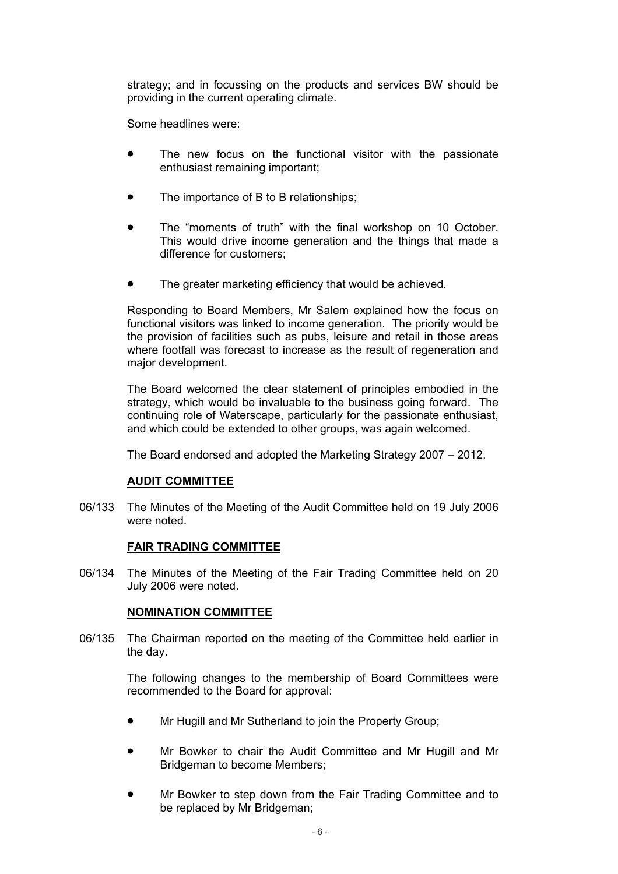strategy; and in focussing on the products and services BW should be providing in the current operating climate.

Some headlines were:

- The new focus on the functional visitor with the passionate enthusiast remaining important;
- The importance of B to B relationships;
- The "moments of truth" with the final workshop on 10 October. This would drive income generation and the things that made a difference for customers;
- The greater marketing efficiency that would be achieved.

 Responding to Board Members, Mr Salem explained how the focus on functional visitors was linked to income generation. The priority would be the provision of facilities such as pubs, leisure and retail in those areas where footfall was forecast to increase as the result of regeneration and major development.

 The Board welcomed the clear statement of principles embodied in the strategy, which would be invaluable to the business going forward. The continuing role of Waterscape, particularly for the passionate enthusiast, and which could be extended to other groups, was again welcomed.

The Board endorsed and adopted the Marketing Strategy 2007 – 2012.

## **AUDIT COMMITTEE**

06/133 The Minutes of the Meeting of the Audit Committee held on 19 July 2006 were noted.

#### **FAIR TRADING COMMITTEE**

06/134 The Minutes of the Meeting of the Fair Trading Committee held on 20 July 2006 were noted.

## **NOMINATION COMMITTEE**

06/135 The Chairman reported on the meeting of the Committee held earlier in the day.

> The following changes to the membership of Board Committees were recommended to the Board for approval:

- Mr Hugill and Mr Sutherland to join the Property Group;
- Mr Bowker to chair the Audit Committee and Mr Hugill and Mr Bridgeman to become Members;
- Mr Bowker to step down from the Fair Trading Committee and to be replaced by Mr Bridgeman;